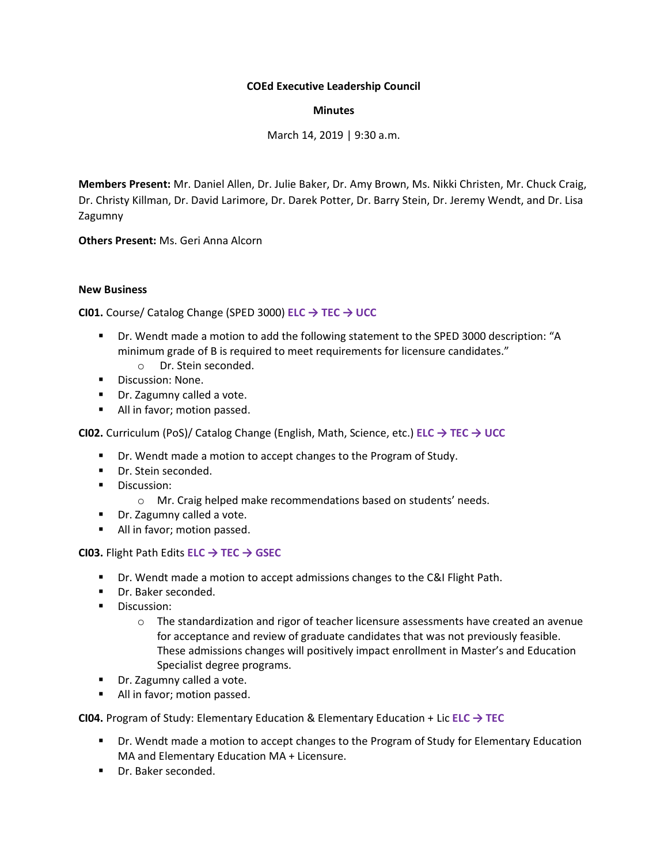# **COEd Executive Leadership Council**

# **Minutes**

March 14, 2019 | 9:30 a.m.

**Members Present:** Mr. Daniel Allen, Dr. Julie Baker, Dr. Amy Brown, Ms. Nikki Christen, Mr. Chuck Craig, Dr. Christy Killman, Dr. David Larimore, Dr. Darek Potter, Dr. Barry Stein, Dr. Jeremy Wendt, and Dr. Lisa Zagumny

**Others Present:** Ms. Geri Anna Alcorn

# **New Business**

**CI01.** Course/ Catalog Change (SPED 3000) **ELC → TEC → UCC**

- Dr. Wendt made a motion to add the following statement to the SPED 3000 description: "A minimum grade of B is required to meet requirements for licensure candidates."
	- o Dr. Stein seconded.
- Discussion: None.
- Dr. Zagumny called a vote.
- All in favor; motion passed.

**CI02.** Curriculum (PoS)/ Catalog Change (English, Math, Science, etc.) **ELC → TEC → UCC**

- Dr. Wendt made a motion to accept changes to the Program of Study.
- Dr. Stein seconded.
- Discussion:
	- o Mr. Craig helped make recommendations based on students' needs.
- Dr. Zagumny called a vote.
- All in favor; motion passed.

**CI03.** Flight Path Edits **ELC → TEC → GSEC**

- **•** Dr. Wendt made a motion to accept admissions changes to the C&I Flight Path.
- Dr. Baker seconded.
- **■** Discussion:
	- $\circ$  The standardization and rigor of teacher licensure assessments have created an avenue for acceptance and review of graduate candidates that was not previously feasible. These admissions changes will positively impact enrollment in Master's and Education Specialist degree programs.
- Dr. Zagumny called a vote.
- All in favor; motion passed.

**CI04.** Program of Study: Elementary Education & Elementary Education + Lic **ELC → TEC**

- Dr. Wendt made a motion to accept changes to the Program of Study for Elementary Education MA and Elementary Education MA + Licensure.
- Dr. Baker seconded.